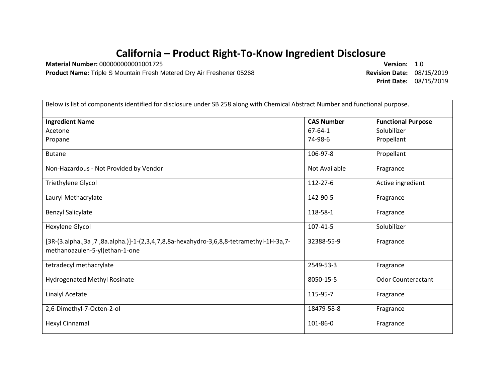## **California – Product Right-To-Know Ingredient Disclosure**

**Material Number:** 000000000001001725 **Version:** 1.0

**Product Name:** Triple S Mountain Fresh Metered Dry Air Freshener 05268 **Revision Date:** 08/15/2019

**Print Date:** 08/15/2019

| Below is list of components identified for disclosure under SB 258 along with Chemical Abstract Number and functional purpose. |                   |                           |  |
|--------------------------------------------------------------------------------------------------------------------------------|-------------------|---------------------------|--|
| <b>Ingredient Name</b>                                                                                                         | <b>CAS Number</b> | <b>Functional Purpose</b> |  |
| Acetone                                                                                                                        | $67 - 64 - 1$     | Solubilizer               |  |
| Propane                                                                                                                        | 74-98-6           | Propellant                |  |
| <b>Butane</b>                                                                                                                  | 106-97-8          | Propellant                |  |
| Non-Hazardous - Not Provided by Vendor                                                                                         | Not Available     | Fragrance                 |  |
| Triethylene Glycol                                                                                                             | 112-27-6          | Active ingredient         |  |
| Lauryl Methacrylate                                                                                                            | 142-90-5          | Fragrance                 |  |
| <b>Benzyl Salicylate</b>                                                                                                       | 118-58-1          | Fragrance                 |  |
| Hexylene Glycol                                                                                                                | 107-41-5          | Solubilizer               |  |
| [3R-(3.alpha.,3a,7,8a.alpha.)]-1-(2,3,4,7,8,8a-hexahydro-3,6,8,8-tetramethyl-1H-3a,7-<br>methanoazulen-5-yl)ethan-1-one        | 32388-55-9        | Fragrance                 |  |
| tetradecyl methacrylate                                                                                                        | 2549-53-3         | Fragrance                 |  |
| <b>Hydrogenated Methyl Rosinate</b>                                                                                            | 8050-15-5         | <b>Odor Counteractant</b> |  |
| <b>Linalyl Acetate</b>                                                                                                         | 115-95-7          | Fragrance                 |  |
| 2,6-Dimethyl-7-Octen-2-ol                                                                                                      | 18479-58-8        | Fragrance                 |  |
| Hexyl Cinnamal                                                                                                                 | 101-86-0          | Fragrance                 |  |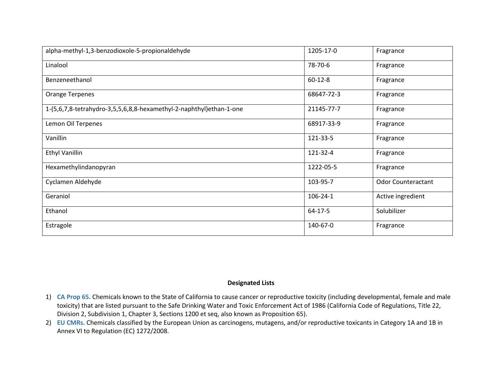| alpha-methyl-1,3-benzodioxole-5-propionaldehyde                     | 1205-17-0      | Fragrance                 |
|---------------------------------------------------------------------|----------------|---------------------------|
| Linalool                                                            | 78-70-6        | Fragrance                 |
| Benzeneethanol                                                      | $60 - 12 - 8$  | Fragrance                 |
| <b>Orange Terpenes</b>                                              | 68647-72-3     | Fragrance                 |
| 1-(5,6,7,8-tetrahydro-3,5,5,6,8,8-hexamethyl-2-naphthyl)ethan-1-one | 21145-77-7     | Fragrance                 |
| Lemon Oil Terpenes                                                  | 68917-33-9     | Fragrance                 |
| Vanillin                                                            | 121-33-5       | Fragrance                 |
| <b>Ethyl Vanillin</b>                                               | 121-32-4       | Fragrance                 |
| Hexamethylindanopyran                                               | 1222-05-5      | Fragrance                 |
| Cyclamen Aldehyde                                                   | 103-95-7       | <b>Odor Counteractant</b> |
| Geraniol                                                            | $106 - 24 - 1$ | Active ingredient         |
| Ethanol                                                             | $64 - 17 - 5$  | Solubilizer               |
| Estragole                                                           | 140-67-0       | Fragrance                 |

## **Designated Lists**

- 1) **CA Prop 65.** Chemicals known to the State of California to cause cancer or reproductive toxicity (including developmental, female and male toxicity) that are listed pursuant to the Safe Drinking Water and Toxic Enforcement Act of 1986 (California Code of Regulations, Title 22, Division 2, Subdivision 1, Chapter 3, Sections 1200 et seq, also known as Proposition 65).
- 2) **EU CMRs.** Chemicals classified by the European Union as carcinogens, mutagens, and/or reproductive toxicants in Category 1A and 1B in Annex VI to Regulation (EC) 1272/2008.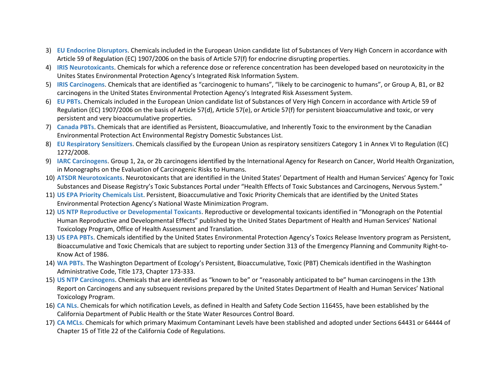- 3) **EU Endocrine Disruptors**. Chemicals included in the European Union candidate list of Substances of Very High Concern in accordance with Article 59 of Regulation (EC) 1907/2006 on the basis of Article 57(f) for endocrine disrupting properties.
- 4) **IRIS Neurotoxicants**. Chemicals for which a reference dose or reference concentration has been developed based on neurotoxicity in the Unites States Environmental Protection Agency's Integrated Risk Information System.
- 5) **IRIS Carcinogens**. Chemicals that are identified as "carcinogenic to humans", "likely to be carcinogenic to humans", or Group A, B1, or B2 carcinogens in the United States Environmental Protection Agency's Integrated Risk Assessment System.
- 6) **EU PBTs**. Chemicals included in the European Union candidate list of Substances of Very High Concern in accordance with Article 59 of Regulation (EC) 1907/2006 on the basis of Article 57(d), Article 57(e), or Article 57(f) for persistent bioaccumulative and toxic, or very persistent and very bioaccumulative properties.
- 7) **Canada PBTs**. Chemicals that are identified as Persistent, Bioaccumulative, and Inherently Toxic to the environment by the Canadian Environmental Protection Act Environmental Registry Domestic Substances List.
- 8) **EU Respiratory Sensitizers**. Chemicals classified by the European Union as respiratory sensitizers Category 1 in Annex VI to Regulation (EC) 1272/2008.
- 9) **IARC Carcinogens**. Group 1, 2a, or 2b carcinogens identified by the International Agency for Research on Cancer, World Health Organization, in Monographs on the Evaluation of Carcinogenic Risks to Humans.
- 10) **ATSDR Neurotoxicants**. Neurotoxicants that are identified in the United States' Department of Health and Human Services' Agency for Toxic Substances and Disease Registry's Toxic Substances Portal under "Health Effects of Toxic Substances and Carcinogens, Nervous System."
- 11) **US EPA Priority Chemicals List**. Persistent, Bioaccumulative and Toxic Priority Chemicals that are identified by the United States Environmental Protection Agency's National Waste Minimization Program.
- 12) **US NTP Reproductive or Developmental Toxicants**. Reproductive or developmental toxicants identified in "Monograph on the Potential Human Reproductive and Developmental Effects" published by the United States Department of Health and Human Services' National Toxicology Program, Office of Health Assessment and Translation.
- 13) **US EPA PBTs**. Chemicals identified by the United States Environmental Protection Agency's Toxics Release Inventory program as Persistent, Bioaccumulative and Toxic Chemicals that are subject to reporting under Section 313 of the Emergency Planning and Community Right-to-Know Act of 1986.
- 14) **WA PBTs**. The Washington Department of Ecology's Persistent, Bioaccumulative, Toxic (PBT) Chemicals identified in the Washington Administrative Code, Title 173, Chapter 173-333.
- 15) **US NTP Carcinogens**. Chemicals that are identified as "known to be" or "reasonably anticipated to be" human carcinogens in the 13th Report on Carcinogens and any subsequent revisions prepared by the United States Department of Health and Human Services' National Toxicology Program.
- 16) **CA NLs**. Chemicals for which notification Levels, as defined in Health and Safety Code Section 116455, have been established by the California Department of Public Health or the State Water Resources Control Board.
- 17) **CA MCLs**. Chemicals for which primary Maximum Contaminant Levels have been stablished and adopted under Sections 64431 or 64444 of Chapter 15 of Title 22 of the California Code of Regulations.